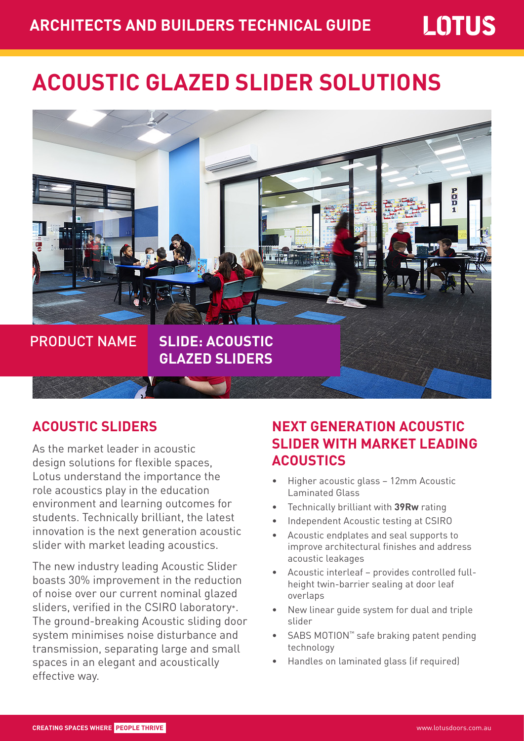# **ACOUSTIC GLAZED SLIDER SOLUTIONS**



#### **ACOUSTIC SLIDERS**

As the market leader in acoustic design solutions for flexible spaces, Lotus understand the importance the role acoustics play in the education environment and learning outcomes for students. Technically brilliant, the latest innovation is the next generation acoustic slider with market leading acoustics.

The new industry leading Acoustic Slider boasts 30% improvement in the reduction of noise over our current nominal glazed sliders, verified in the CSIRO laboratory\*. The ground-breaking Acoustic sliding door system minimises noise disturbance and transmission, separating large and small spaces in an elegant and acoustically effective way.

## **NEXT GENERATION ACOUSTIC SLIDER WITH MARKET LEADING ACOUSTICS**

- Higher acoustic glass 12mm Acoustic Laminated Glass
- Technically brilliant with **39Rw** rating
- Independent Acoustic testing at CSIRO
- Acoustic endplates and seal supports to improve architectural finishes and address acoustic leakages
- Acoustic interleaf provides controlled fullheight twin-barrier sealing at door leaf overlaps
- New linear guide system for dual and triple slider
- SABS MOTION™ safe braking patent pending technology
- Handles on laminated glass (if required)